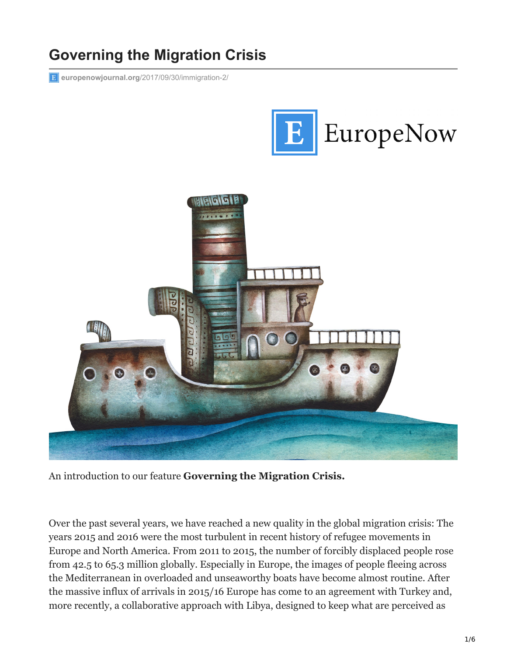## **Governing the Migration Crisis**

**europenowjournal.org**[/2017/09/30/immigration-2/](https://www.europenowjournal.org/2017/09/30/immigration-2/)





An introduction to our feature **Governing the Migration Crisis.**

Over the past several years, we have reached a new quality in the global migration crisis: The years 2015 and 2016 were the most turbulent in recent history of refugee movements in Europe and North America. From 2011 to 2015, the number of forcibly displaced people rose from 42.5 to 65.3 million globally. Especially in Europe, the images of people fleeing across the Mediterranean in overloaded and unseaworthy boats have become almost routine. After the massive influx of arrivals in 2015/16 Europe has come to an agreement with Turkey and, more recently, a collaborative approach with Libya, designed to keep what are perceived as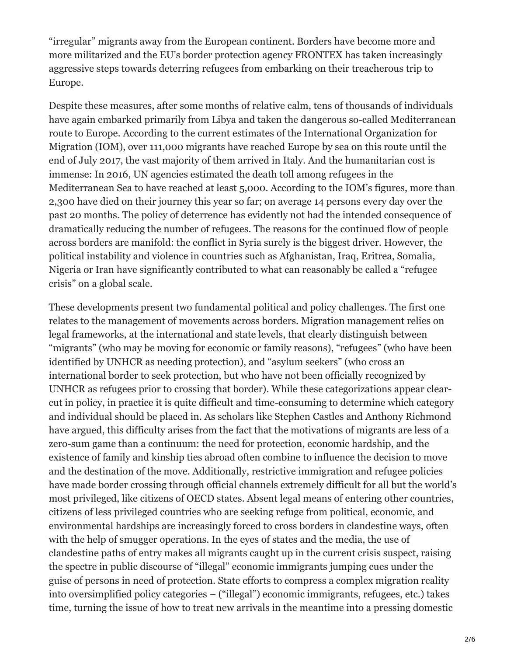"irregular" migrants away from the European continent. Borders have become more and more militarized and the EU's border protection agency FRONTEX has taken increasingly aggressive steps towards deterring refugees from embarking on their treacherous trip to Europe.

Despite these measures, after some months of relative calm, tens of thousands of individuals have again embarked primarily from Libya and taken the dangerous so-called Mediterranean route to Europe. According to the current estimates of the International Organization for Migration (IOM), over 111,000 migrants have reached Europe by sea on this route until the end of July 2017, the vast majority of them arrived in Italy. And the humanitarian cost is immense: In 2016, UN agencies estimated the death toll among refugees in the Mediterranean Sea to have reached at least 5,000. According to the IOM's figures, more than 2,300 have died on their journey this year so far; on average 14 persons every day over the past 20 months. The policy of deterrence has evidently not had the intended consequence of dramatically reducing the number of refugees. The reasons for the continued flow of people across borders are manifold: the conflict in Syria surely is the biggest driver. However, the political instability and violence in countries such as Afghanistan, Iraq, Eritrea, Somalia, Nigeria or Iran have significantly contributed to what can reasonably be called a "refugee crisis" on a global scale.

These developments present two fundamental political and policy challenges. The first one relates to the management of movements across borders. Migration management relies on legal frameworks, at the international and state levels, that clearly distinguish between "migrants" (who may be moving for economic or family reasons), "refugees" (who have been identified by UNHCR as needing protection), and "asylum seekers" (who cross an international border to seek protection, but who have not been officially recognized by UNHCR as refugees prior to crossing that border). While these categorizations appear clearcut in policy, in practice it is quite difficult and time-consuming to determine which category and individual should be placed in. As scholars like Stephen Castles and Anthony Richmond have argued, this difficulty arises from the fact that the motivations of migrants are less of a zero-sum game than a continuum: the need for protection, economic hardship, and the existence of family and kinship ties abroad often combine to influence the decision to move and the destination of the move. Additionally, restrictive immigration and refugee policies have made border crossing through official channels extremely difficult for all but the world's most privileged, like citizens of OECD states. Absent legal means of entering other countries, citizens of less privileged countries who are seeking refuge from political, economic, and environmental hardships are increasingly forced to cross borders in clandestine ways, often with the help of smugger operations. In the eyes of states and the media, the use of clandestine paths of entry makes all migrants caught up in the current crisis suspect, raising the spectre in public discourse of "illegal" economic immigrants jumping cues under the guise of persons in need of protection. State efforts to compress a complex migration reality into oversimplified policy categories – ("illegal") economic immigrants, refugees, etc.) takes time, turning the issue of how to treat new arrivals in the meantime into a pressing domestic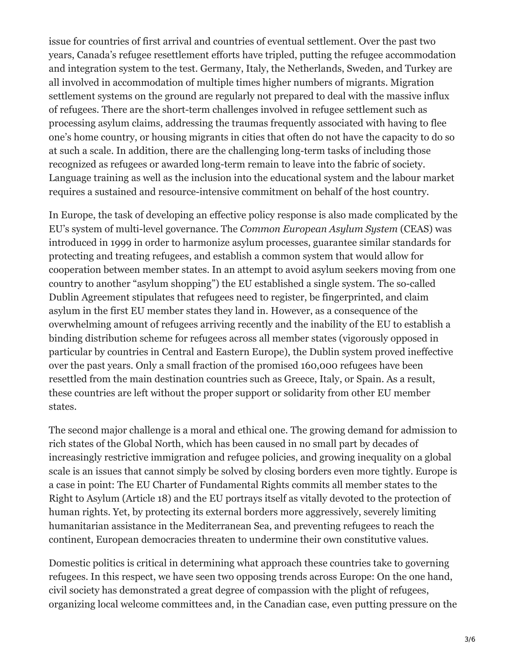issue for countries of first arrival and countries of eventual settlement. Over the past two years, Canada's refugee resettlement efforts have tripled, putting the refugee accommodation and integration system to the test. Germany, Italy, the Netherlands, Sweden, and Turkey are all involved in accommodation of multiple times higher numbers of migrants. Migration settlement systems on the ground are regularly not prepared to deal with the massive influx of refugees. There are the short-term challenges involved in refugee settlement such as processing asylum claims, addressing the traumas frequently associated with having to flee one's home country, or housing migrants in cities that often do not have the capacity to do so at such a scale. In addition, there are the challenging long-term tasks of including those recognized as refugees or awarded long-term remain to leave into the fabric of society. Language training as well as the inclusion into the educational system and the labour market requires a sustained and resource-intensive commitment on behalf of the host country.

In Europe, the task of developing an effective policy response is also made complicated by the EU's system of multi-level governance. The *Common European Asylum System* (CEAS) was introduced in 1999 in order to harmonize asylum processes, guarantee similar standards for protecting and treating refugees, and establish a common system that would allow for cooperation between member states. In an attempt to avoid asylum seekers moving from one country to another "asylum shopping") the EU established a single system. The so-called Dublin Agreement stipulates that refugees need to register, be fingerprinted, and claim asylum in the first EU member states they land in. However, as a consequence of the overwhelming amount of refugees arriving recently and the inability of the EU to establish a binding distribution scheme for refugees across all member states (vigorously opposed in particular by countries in Central and Eastern Europe), the Dublin system proved ineffective over the past years. Only a small fraction of the promised 160,000 refugees have been resettled from the main destination countries such as Greece, Italy, or Spain. As a result, these countries are left without the proper support or solidarity from other EU member states.

The second major challenge is a moral and ethical one. The growing demand for admission to rich states of the Global North, which has been caused in no small part by decades of increasingly restrictive immigration and refugee policies, and growing inequality on a global scale is an issues that cannot simply be solved by closing borders even more tightly. Europe is a case in point: The EU Charter of Fundamental Rights commits all member states to the Right to Asylum (Article 18) and the EU portrays itself as vitally devoted to the protection of human rights. Yet, by protecting its external borders more aggressively, severely limiting humanitarian assistance in the Mediterranean Sea, and preventing refugees to reach the continent, European democracies threaten to undermine their own constitutive values.

Domestic politics is critical in determining what approach these countries take to governing refugees. In this respect, we have seen two opposing trends across Europe: On the one hand, civil society has demonstrated a great degree of compassion with the plight of refugees, organizing local welcome committees and, in the Canadian case, even putting pressure on the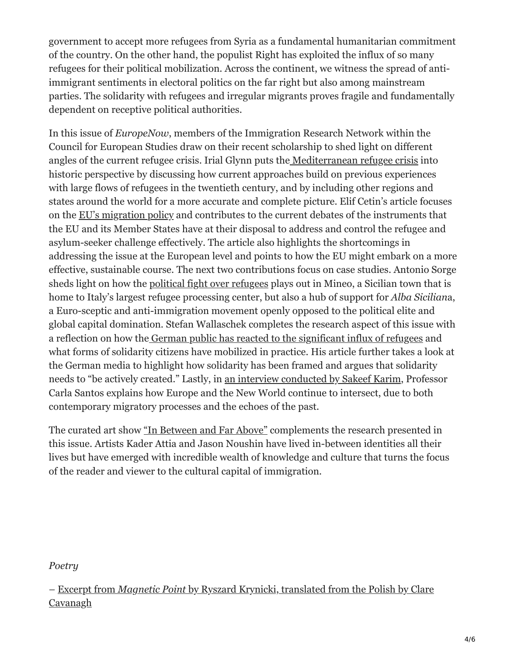government to accept more refugees from Syria as a fundamental humanitarian commitment of the country. On the other hand, the populist Right has exploited the influx of so many refugees for their political mobilization. Across the continent, we witness the spread of antiimmigrant sentiments in electoral politics on the far right but also among mainstream parties. The solidarity with refugees and irregular migrants proves fragile and fundamentally dependent on receptive political authorities.

In this issue of *EuropeNow*, members of the Immigration Research Network within the Council for European Studies draw on their recent scholarship to shed light on different angles of the current refugee crisis. Irial Glynn puts th[e Mediterranean refugee crisis](https://www.europenowjournal.org/2017/09/30/comparing-europes-recent-reaction-to-boat-refugees-across-time-and-space/) into historic perspective by discussing how current approaches build on previous experiences with large flows of refugees in the twentieth century, and by including other regions and states around the world for a more accurate and complete picture. Elif Cetin's article focuses on the [EU's migration policy](https://www.europenowjournal.org/2017/09/30/what-prospects-for-change-to-achieve-a-sustainable-eu-migration-policy/) and contributes to the current debates of the instruments that the EU and its Member States have at their disposal to address and control the refugee and asylum-seeker challenge effectively. The article also highlights the shortcomings in addressing the issue at the European level and points to how the EU might embark on a more effective, sustainable course. The next two contributions focus on case studies. Antonio Sorge sheds light on how the [political fight over refugees](https://www.europenowjournal.org/2017/09/30/at-the-mercy-of-global-interests-reflections-on-nativism-and-conspiratorialism-in-sicily/) plays out in Mineo, a Sicilian town that is home to Italy's largest refugee processing center, but also a hub of support for *Alba Sicilian*a, a Euro-sceptic and anti-immigration movement openly opposed to the political elite and global capital domination. Stefan Wallaschek completes the research aspect of this issue with a reflection on how the [German public has reacted to the significant influx of refugees](https://www.europenowjournal.org/2017/09/30/notions-of-solidarity-in-europes-migration-crisis-the-case-of-germanys-media-discourse/) and what forms of solidarity citizens have mobilized in practice. His article further takes a look at the German media to highlight how solidarity has been framed and argues that solidarity needs to "be actively created." Lastly, in [an interview conducted by Sakeef Karim](https://www.europenowjournal.org/2017/09/30/mobilities-values-and-citizenship-an-interview-with-carla-santos/), Professor Carla Santos explains how Europe and the New World continue to intersect, due to both contemporary migratory processes and the echoes of the past.

The curated art show ["In Between and Far Above"](https://www.europenowjournal.org/2017/09/30/in-between-and-far-above/) complements the research presented in this issue. Artists Kader Attia and Jason Noushin have lived in-between identities all their lives but have emerged with incredible wealth of knowledge and culture that turns the focus of the reader and viewer to the cultural capital of immigration.

*Poetry*

*–* Excerpt from *Magnetic Point* [by Ryszard Krynicki, translated from the Polish by Clare](https://www.europenowjournal.org/2017/09/30/magnetic-points-by-ryszard-krynicki/) Cavanagh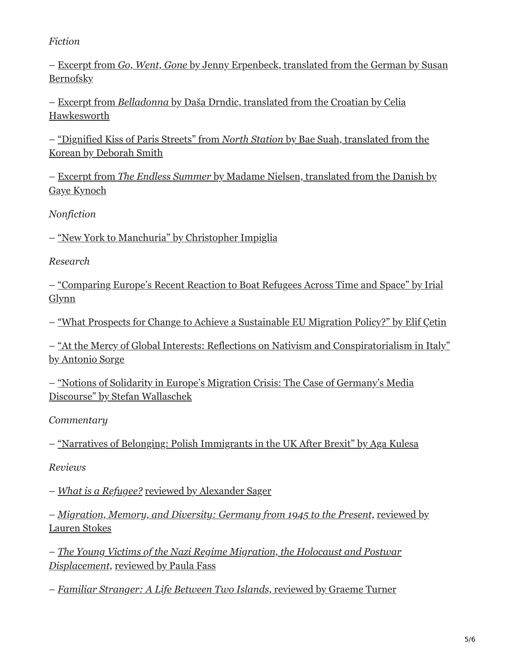*Fiction*

*–* Excerpt from *Go, Went, Gone* [by Jenny Erpenbeck, translated from the German by Susan](https://www.europenowjournal.org/2017/09/30/go-went-gone-by-jenny-erpenbeck/) **Bernofsky** 

*–* Excerpt from *Belladonna* [by Daša Drndic, translated from the Croatian by Celia](https://www.europenowjournal.org/2017/09/30/belladonna-by-dasa-drndic/) Hawkesworth

*–* ["Dignified Kiss of Paris Streets" from](https://www.europenowjournal.org/2017/09/30/dignified-kiss-of-paris-streets-by-bae-suah/) *North Station* by Bae Suah, translated from the Korean by Deborah Smith

*–* Excerpt from *The Endless Summer* [by Madame Nielsen, translated from the Danish by](https://www.europenowjournal.org/2017/09/30/the-endless-summer-by-madame-nielsen/) Gaye Kynoch

*Nonfiction*

*–* ["New York to Manchuria" by Christopher Impiglia](https://www.europenowjournal.org/2017/09/30/new-york-to-manchuria/)

*Research* 

*–* ["Comparing Europe's Recent Reaction to Boat Refugees Across Time and Space" by Irial](https://www.europenowjournal.org/2017/09/30/comparing-europes-recent-reaction-to-boat-refugees-across-time-and-space/) Glynn

*–* ["What Prospects for Change to Achieve a Sustainable EU Migration Policy?" by Elif Çetin](https://www.europenowjournal.org/2017/09/30/what-prospects-for-change-to-achieve-a-sustainable-eu-migration-policy/)

*–* ["At the Mercy of Global Interests: Reflections on Nativism and Conspiratorialism in Italy"](https://www.europenowjournal.org/2017/09/30/at-the-mercy-of-global-interests-reflections-on-nativism-and-conspiratorialism-in-sicily/) by Antonio Sorge

*–* ["Notions of Solidarity in Europe's Migration Crisis: The Case of Germany's Media](https://www.europenowjournal.org/2017/09/30/notions-of-solidarity-in-europes-migration-crisis-the-case-of-germanys-media-discourse/) Discourse" by Stefan Wallaschek

*Commentary*

*–* ["Narratives of Belonging: Polish Immigrants in the UK After Brexit" by Aga Kulesa](https://www.europenowjournal.org/2017/09/30/narratives-of-belonging-polish-immigrants-in-the-uk-after-brexit/)

*Reviews*

*– [What is a Refugee?](https://www.europenowjournal.org/2017/09/30/what-is-a-refugee-by-william-maley/)* [reviewed by Alexander Sager](https://www.europenowjournal.org/2017/09/30/what-is-a-refugee-by-william-maley/)

*[– Migration, Memory, and Diversity: Germany from 1945 to the Present,](https://www.europenowjournal.org/2017/09/30/migration-memory-and-diversity-germany-from-1945-to-the-present-edited-by-cornelia-wilhelm/)* reviewed by Lauren Stokes

*[– The Young Victims of the Nazi Regime Migration, the Holocaust and Postwar](https://www.europenowjournal.org/2017/09/30/the-young-victims-of-the-nazi-regime-migration-the-holocaust-and-postwar-displacement-edited-by-simone-gigliotti-and-monica-tempian/) Displacement,* [reviewed by Paula Fass](https://www.europenowjournal.org/2017/09/30/the-young-victims-of-the-nazi-regime-migration-the-holocaust-and-postwar-displacement-edited-by-simone-gigliotti-and-monica-tempian/)

*– [Familiar Stranger: A Life Between Two Islands,](https://www.europenowjournal.org/2017/09/30/familiar-stranger-a-life-between-two-islands-by-stuart-hall/)* [reviewed by Graeme Turner](https://www.europenowjournal.org/2017/09/30/familiar-stranger-a-life-between-two-islands-by-stuart-hall/)